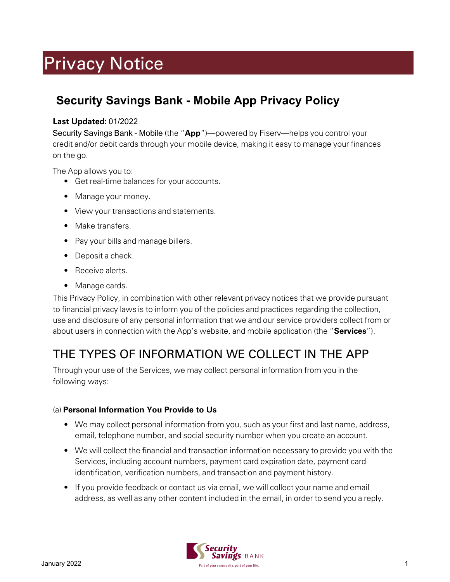# Privacy Notice

# **Security Savings Bank - Mobile App Privacy Policy**

#### Last Updated: 01/2022

Security Savings Bank - Mobile (the "App")—powered by Fiserv—helps you control your credit and/or debit cards through your mobile device, making it easy to manage your finances on the go.

The App allows you to:

- Get real-time balances for your accounts.
- Manage your money.
- View your transactions and statements.
- Make transfers.
- Pay your bills and manage billers.
- Deposit a check.
- Receive alerts.
- Manage cards.

This Privacy Policy, in combination with other relevant privacy notices that we provide pursuant to financial privacy laws is to inform you of the policies and practices regarding the collection, use and disclosure of any personal information that we and our service providers collect from or about users in connection with the App's website, and mobile application (the "Services").

# THE TYPES OF INFORMATION WE COLLECT IN THE APP

Through your use of the Services, we may collect personal information from you in the following ways:

#### (a) Personal Information You Provide to Us

- We may collect personal information from you, such as your first and last name, address, email, telephone number, and social security number when you create an account.
- We will collect the financial and transaction information necessary to provide you with the Services, including account numbers, payment card expiration date, payment card identification, verification numbers, and transaction and payment history.
- If you provide feedback or contact us via email, we will collect your name and email address, as well as any other content included in the email, in order to send you a reply.

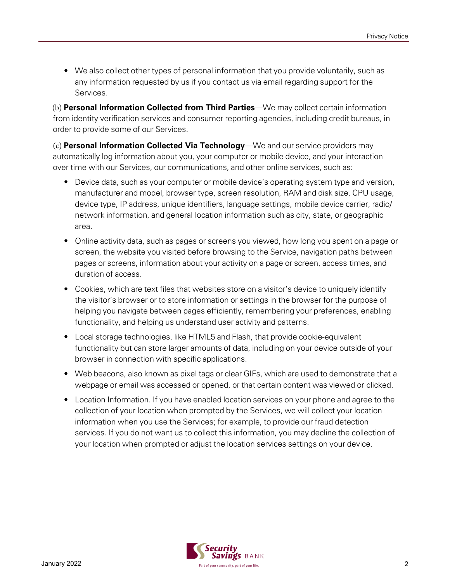• We also collect other types of personal information that you provide voluntarily, such as any information requested by us if you contact us via email regarding support for the Services.

(b) Personal Information Collected from Third Parties—We may collect certain information from identity verification services and consumer reporting agencies, including credit bureaus, in order to provide some of our Services.

(c) Personal Information Collected Via Technology—We and our service providers may automatically log information about you, your computer or mobile device, and your interaction over time with our Services, our communications, and other online services, such as:

- Device data, such as your computer or mobile device's operating system type and version, manufacturer and model, browser type, screen resolution, RAM and disk size, CPU usage, device type, IP address, unique identifiers, language settings, mobile device carrier, radio/ network information, and general location information such as city, state, or geographic area.
- Online activity data, such as pages or screens you viewed, how long you spent on a page or screen, the website you visited before browsing to the Service, navigation paths between pages or screens, information about your activity on a page or screen, access times, and duration of access.
- Cookies, which are text files that websites store on a visitor's device to uniquely identify the visitor's browser or to store information or settings in the browser for the purpose of helping you navigate between pages efficiently, remembering your preferences, enabling functionality, and helping us understand user activity and patterns.
- Local storage technologies, like HTML5 and Flash, that provide cookie-equivalent functionality but can store larger amounts of data, including on your device outside of your browser in connection with specific applications.
- Web beacons, also known as pixel tags or clear GIFs, which are used to demonstrate that a webpage or email was accessed or opened, or that certain content was viewed or clicked.
- Location Information. If you have enabled location services on your phone and agree to the collection of your location when prompted by the Services, we will collect your location information when you use the Services; for example, to provide our fraud detection services. If you do not want us to collect this information, you may decline the collection of your location when prompted or adjust the location services settings on your device.

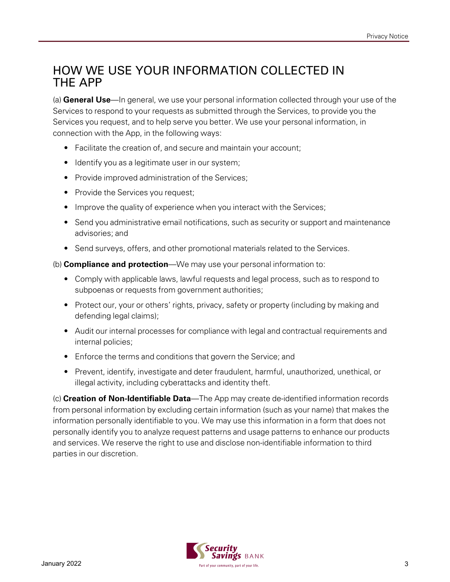#### HOW WE USE YOUR INFORMATION COLLECTED IN THE APP

(a) General Use—In general, we use your personal information collected through your use of the Services to respond to your requests as submitted through the Services, to provide you the Services you request, and to help serve you better. We use your personal information, in connection with the App, in the following ways:

- Facilitate the creation of, and secure and maintain your account;
- Identify you as a legitimate user in our system;
- Provide improved administration of the Services;
- Provide the Services you request;
- Improve the quality of experience when you interact with the Services;
- Send you administrative email notifications, such as security or support and maintenance advisories; and
- Send surveys, offers, and other promotional materials related to the Services.

(b) **Compliance and protection**—We may use your personal information to:

- Comply with applicable laws, lawful requests and legal process, such as to respond to subpoenas or requests from government authorities;
- Protect our, your or others' rights, privacy, safety or property (including by making and defending legal claims);
- Audit our internal processes for compliance with legal and contractual requirements and internal policies;
- Enforce the terms and conditions that govern the Service; and
- Prevent, identify, investigate and deter fraudulent, harmful, unauthorized, unethical, or illegal activity, including cyberattacks and identity theft.

(c) Creation of Non-Identifiable Data—The App may create de-identified information records from personal information by excluding certain information (such as your name) that makes the information personally identifiable to you. We may use this information in a form that does not personally identify you to analyze request patterns and usage patterns to enhance our products and services. We reserve the right to use and disclose non-identifiable information to third parties in our discretion.

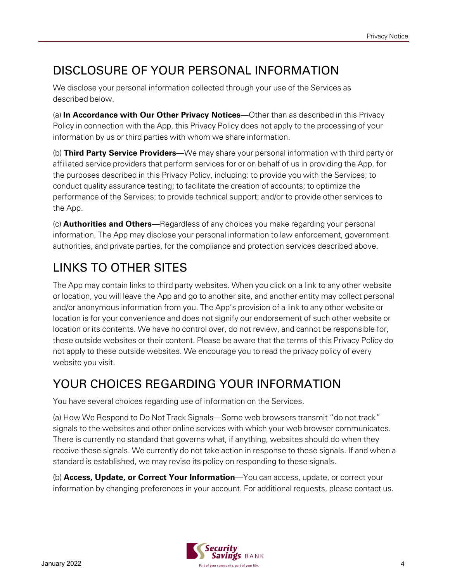# DISCLOSURE OF YOUR PERSONAL INFORMATION

We disclose your personal information collected through your use of the Services as described below.

(a) In Accordance with Our Other Privacy Notices—Other than as described in this Privacy Policy in connection with the App, this Privacy Policy does not apply to the processing of your information by us or third parties with whom we share information.

(b) Third Party Service Providers—We may share your personal information with third party or affiliated service providers that perform services for or on behalf of us in providing the App, for the purposes described in this Privacy Policy, including: to provide you with the Services; to conduct quality assurance testing; to facilitate the creation of accounts; to optimize the performance of the Services; to provide technical support; and/or to provide other services to the App.

(c) Authorities and Others—Regardless of any choices you make regarding your personal information, The App may disclose your personal information to law enforcement, government authorities, and private parties, for the compliance and protection services described above.

# LINKS TO OTHER SITES

The App may contain links to third party websites. When you click on a link to any other website or location, you will leave the App and go to another site, and another entity may collect personal and/or anonymous information from you. The App's provision of a link to any other website or location is for your convenience and does not signify our endorsement of such other website or location or its contents. We have no control over, do not review, and cannot be responsible for, these outside websites or their content. Please be aware that the terms of this Privacy Policy do not apply to these outside websites. We encourage you to read the privacy policy of every website you visit.

## YOUR CHOICES REGARDING YOUR INFORMATION

You have several choices regarding use of information on the Services.

(a) How We Respond to Do Not Track Signals—Some web browsers transmit "do not track" signals to the websites and other online services with which your web browser communicates. There is currently no standard that governs what, if anything, websites should do when they receive these signals. We currently do not take action in response to these signals. If and when a standard is established, we may revise its policy on responding to these signals.

(b) **Access, Update, or Correct Your Information**—You can access, update, or correct your information by changing preferences in your account. For additional requests, please contact us.

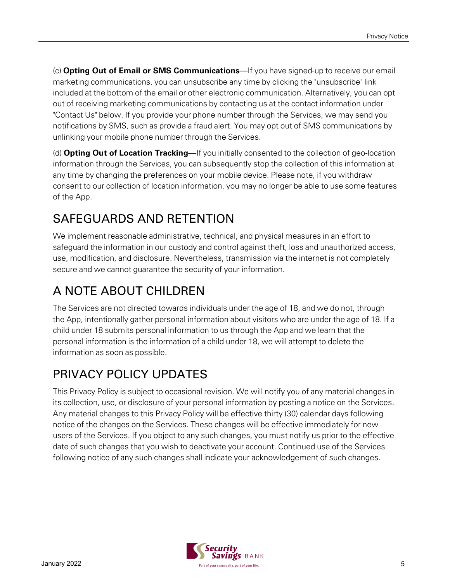(c) Opting Out of Email or SMS Communications—If you have signed-up to receive our email marketing communications, you can unsubscribe any time by clicking the "unsubscribe" link included at the bottom of the email or other electronic communication. Alternatively, you can opt out of receiving marketing communications by contacting us at the contact information under "Contact Us" below. If you provide your phone number through the Services, we may send you notifications by SMS, such as provide a fraud alert. You may opt out of SMS communications by unlinking your mobile phone number through the Services.

(d) Opting Out of Location Tracking—If you initially consented to the collection of geo-location information through the Services, you can subsequently stop the collection of this information at any time by changing the preferences on your mobile device. Please note, if you withdraw consent to our collection of location information, you may no longer be able to use some features of the App.

## SAFEGUARDS AND RETENTION

We implement reasonable administrative, technical, and physical measures in an effort to safeguard the information in our custody and control against theft, loss and unauthorized access, use, modification, and disclosure. Nevertheless, transmission via the internet is not completely secure and we cannot guarantee the security of your information.

# A NOTE ABOUT CHILDREN

The Services are not directed towards individuals under the age of 18, and we do not, through the App, intentionally gather personal information about visitors who are under the age of 18. If a child under 18 submits personal information to us through the App and we learn that the personal information is the information of a child under 18, we will attempt to delete the information as soon as possible.

# PRIVACY POLICY UPDATES

This Privacy Policy is subject to occasional revision. We will notify you of any material changes in its collection, use, or disclosure of your personal information by posting a notice on the Services. Any material changes to this Privacy Policy will be effective thirty (30) calendar days following notice of the changes on the Services. These changes will be effective immediately for new users of the Services. If you object to any such changes, you must notify us prior to the effective date of such changes that you wish to deactivate your account. Continued use of the Services following notice of any such changes shall indicate your acknowledgement of such changes.